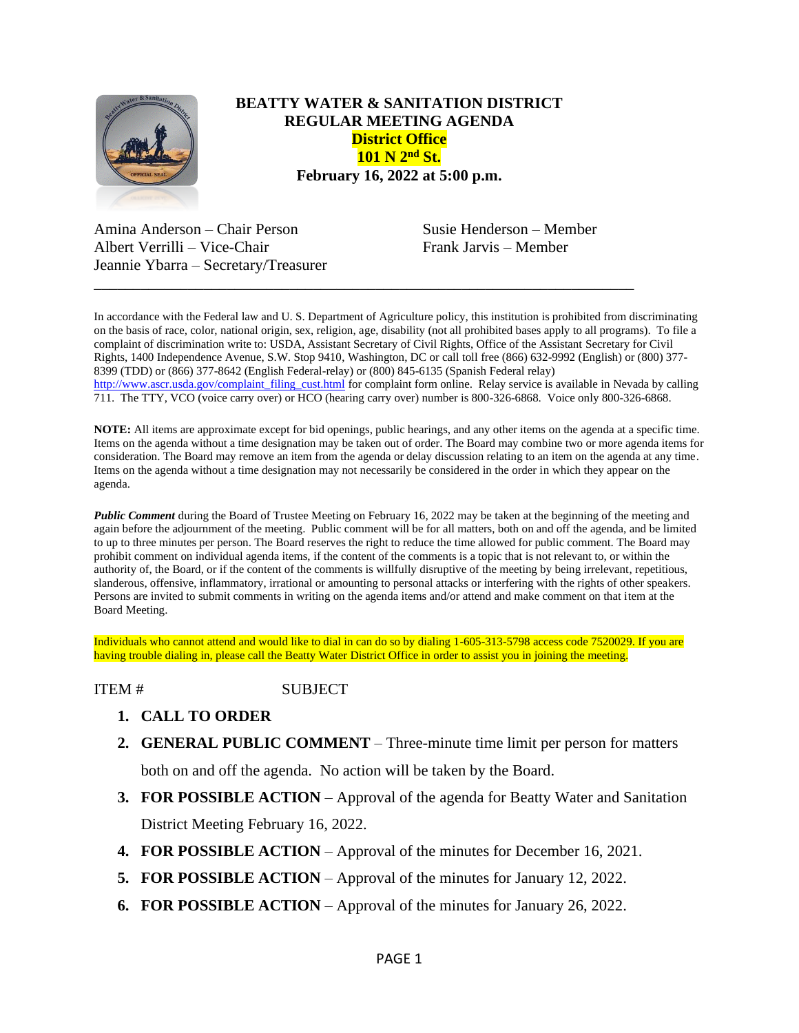

## **BEATTY WATER & SANITATION DISTRICT REGULAR MEETING AGENDA District Office 101 N 2nd St. February 16, 2022 at 5:00 p.m.**

Amina Anderson – Chair Person Susie Henderson – Member Albert Verrilli – Vice-Chair Frank Jarvis – Member Jeannie Ybarra – Secretary/Treasurer

In accordance with the Federal law and U. S. Department of Agriculture policy, this institution is prohibited from discriminating on the basis of race, color, national origin, sex, religion, age, disability (not all prohibited bases apply to all programs). To file a complaint of discrimination write to: USDA, Assistant Secretary of Civil Rights, Office of the Assistant Secretary for Civil Rights, 1400 Independence Avenue, S.W. Stop 9410, Washington, DC or call toll free (866) 632-9992 (English) or (800) 377- 8399 (TDD) or (866) 377-8642 (English Federal-relay) or (800) 845-6135 (Spanish Federal relay) [http://www.ascr.usda.gov/complaint\\_filing\\_cust.html](http://www.ascr.usda.gov/complaint_filing_cust.html) for complaint form online. Relay service is available in Nevada by calling 711. The TTY, VCO (voice carry over) or HCO (hearing carry over) number is 800-326-6868. Voice only 800-326-6868.

\_\_\_\_\_\_\_\_\_\_\_\_\_\_\_\_\_\_\_\_\_\_\_\_\_\_\_\_\_\_\_\_\_\_\_\_\_\_\_\_\_\_\_\_\_\_\_\_\_\_\_\_\_\_\_\_\_\_\_\_\_\_\_\_\_\_\_\_\_

**NOTE:** All items are approximate except for bid openings, public hearings, and any other items on the agenda at a specific time. Items on the agenda without a time designation may be taken out of order. The Board may combine two or more agenda items for consideration. The Board may remove an item from the agenda or delay discussion relating to an item on the agenda at any time. Items on the agenda without a time designation may not necessarily be considered in the order in which they appear on the agenda.

**Public Comment** during the Board of Trustee Meeting on February 16, 2022 may be taken at the beginning of the meeting and again before the adjournment of the meeting. Public comment will be for all matters, both on and off the agenda, and be limited to up to three minutes per person. The Board reserves the right to reduce the time allowed for public comment. The Board may prohibit comment on individual agenda items, if the content of the comments is a topic that is not relevant to, or within the authority of, the Board, or if the content of the comments is willfully disruptive of the meeting by being irrelevant, repetitious, slanderous, offensive, inflammatory, irrational or amounting to personal attacks or interfering with the rights of other speakers. Persons are invited to submit comments in writing on the agenda items and/or attend and make comment on that item at the Board Meeting.

Individuals who cannot attend and would like to dial in can do so by dialing 1-605-313-5798 access code 7520029. If you are having trouble dialing in, please call the Beatty Water District Office in order to assist you in joining the meeting.

## ITEM # SUBJECT

- **1. CALL TO ORDER**
- **2. GENERAL PUBLIC COMMENT** Three-minute time limit per person for matters both on and off the agenda. No action will be taken by the Board.

**3. FOR POSSIBLE ACTION** – Approval of the agenda for Beatty Water and Sanitation

District Meeting February 16, 2022.

- **4. FOR POSSIBLE ACTION** Approval of the minutes for December 16, 2021.
- **5. FOR POSSIBLE ACTION** Approval of the minutes for January 12, 2022.
- **6. FOR POSSIBLE ACTION** Approval of the minutes for January 26, 2022.